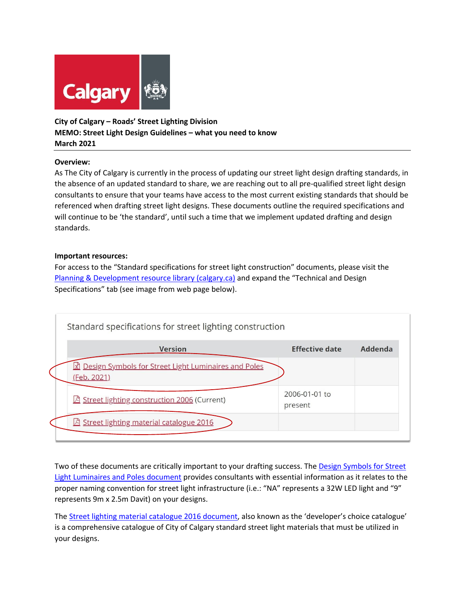

# **City of Calgary – Roads' Street Lighting Division MEMO: Street Light Design Guidelines – what you need to know March 2021**

## **Overview:**

As The City of Calgary is currently in the process of updating our street light design drafting standards, in the absence of an updated standard to share, we are reaching out to all pre-qualified street light design consultants to ensure that your teams have access to the most current existing standards that should be referenced when drafting street light designs. These documents outline the required specifications and will continue to be 'the standard', until such a time that we implement updated drafting and design standards.

## **Important resources:**

For access to the "Standard specifications for street light construction" documents, please visit the [Planning & Development resource library \(calgary.ca\)](https://www.calgary.ca/pda/pd/planning-and-development-resource-library/publications.html) and expand the "Technical and Design Specifications" tab (see image from web page below).



Two of these documents are critically important to your drafting success. The Design Symbols for Street [Light Luminaires and Poles document](https://www.calgary.ca/content/dam/www/transportation/roads/documents/traffic/traffic-signals-and-streetlights/street-light-symbols-february-2021.xlsx) provides consultants with essential information as it relates to the proper naming convention for street light infrastructure (i.e.: "NA" represents a 32W LED light and "9" represents 9m x 2.5m Davit) on your designs.

The [Street lighting material catalogue 2016 document,](https://www.calgary.ca/content/dam/www/transportation/roads/documents/traffic/traffic-signals-and-streetlights/street-lighting-material-catalogue.pdf) also known as the 'developer's choice catalogue' is a comprehensive catalogue of City of Calgary standard street light materials that must be utilized in your designs.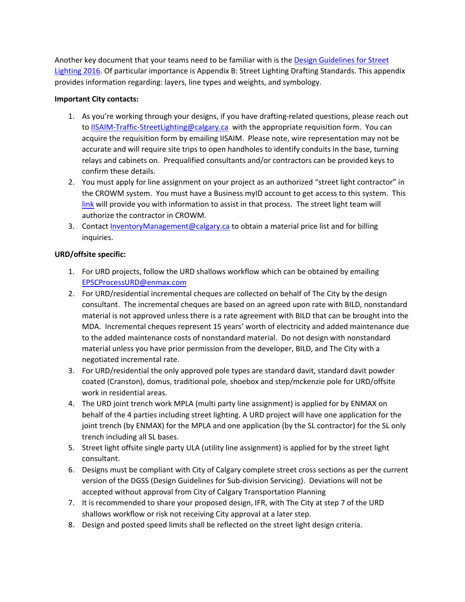Another key document that your teams need to be familiar with is the [Design Guidelines for Street](https://www.calgary.ca/content/dam/www/transportation/roads/documents/traffic/traffic-signals-and-streetlights/design-guidelines-for-street-lighting.pdf)  [Lighting 2016](https://www.calgary.ca/content/dam/www/transportation/roads/documents/traffic/traffic-signals-and-streetlights/design-guidelines-for-street-lighting.pdf). Of particular importance is Appendix B: Street Lighting Drafting Standards. This appendix provides information regarding: layers, line types and weights, and symbology.

#### **Important City contacts:**

- 1. As you're working through your designs, if you have drafting-related questions, please reach out to **IISAIM-Traffic-StreetLighting@calgary.ca** with the appropriate requisition form. You can acquire the requisition form by emailing IISAIM. Please note, wire representation may not be accurate and will require site trips to open handholes to identify conduits in the base, turning relays and cabinets on. Prequalified consultants and/or contractors can be provided keys to confirm these details.
- 2. You must apply for line assignment on your project as an authorized "street light contractor" in the CROWM system. You must have a Business myID account to get access to this system. This [link](https://www.calgary.ca/cfod/it/myid-business-account-faqs.html) will provide you with information to assist in that process. The street light team will authorize the contractor in CROWM.
- 3. Contact [InventoryManagement@calgary.ca](mailto:InventoryManagement@calgary.ca) to obtain a material price list and for billing inquiries.

# **URD/offsite specific:**

- 1. For URD projects, follow the URD shallows workflow which can be obtained by emailing [EPSCProcessURD@enmax.com](mailto:EPSCProcessURD@enmax.com)
- 2. For URD/residential incremental cheques are collected on behalf of The City by the design consultant. The incremental cheques are based on an agreed upon rate with BILD, nonstandard material is not approved unless there is a rate agreement with BILD that can be brought into the MDA. Incremental cheques represent 15 years' worth of electricity and added maintenance due to the added maintenance costs of nonstandard material. Do not design with nonstandard material unless you have prior permission from the developer, BILD, and The City with a negotiated incremental rate.
- 3. For URD/residential the only approved pole types are standard davit, standard davit powder coated (Cranston), domus, traditional pole, shoebox and step/mckenzie pole for URD/offsite work in residential areas.
- 4. The URD joint trench work MPLA (multi party line assignment) is applied for by ENMAX on behalf of the 4 parties including street lighting. A URD project will have one application for the joint trench (by ENMAX) for the MPLA and one application (by the SL contractor) for the SL only trench including all SL bases.
- 5. Street light offsite single party ULA (utility line assignment) is applied for by the street light consultant.
- 6. Designs must be compliant with City of Calgary complete street cross sections as per the current version of the DGSS (Design Guidelines for Sub-division Servicing). Deviations will not be accepted without approval from City of Calgary Transportation Planning
- 7. It is recommended to share your proposed design, IFR, with The City at step 7 of the URD shallows workflow or risk not receiving City approval at a later step.
- 8. Design and posted speed limits shall be reflected on the street light design criteria.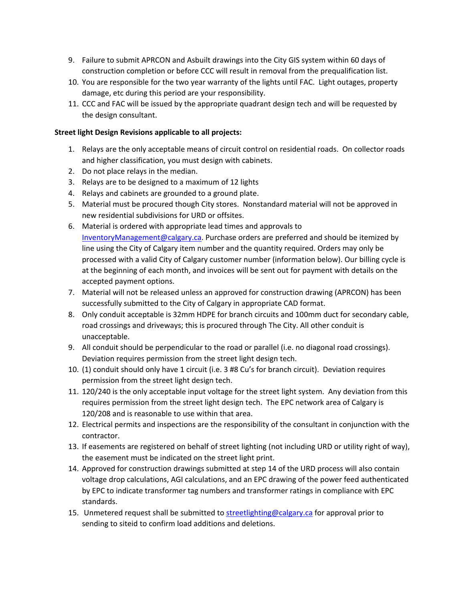- 9. Failure to submit APRCON and Asbuilt drawings into the City GIS system within 60 days of construction completion or before CCC will result in removal from the prequalification list.
- 10. You are responsible for the two year warranty of the lights until FAC. Light outages, property damage, etc during this period are your responsibility.
- 11. CCC and FAC will be issued by the appropriate quadrant design tech and will be requested by the design consultant.

## **Street light Design Revisions applicable to all projects:**

- 1. Relays are the only acceptable means of circuit control on residential roads. On collector roads and higher classification, you must design with cabinets.
- 2. Do not place relays in the median.
- 3. Relays are to be designed to a maximum of 12 lights
- 4. Relays and cabinets are grounded to a ground plate.
- 5. Material must be procured though City stores. Nonstandard material will not be approved in new residential subdivisions for URD or offsites.
- 6. Material is ordered with appropriate lead times and approvals to [InventoryManagement@calgary.ca](mailto:InventoryManagement@calgary.ca). Purchase orders are preferred and should be itemized by line using the City of Calgary item number and the quantity required. Orders may only be processed with a valid City of Calgary customer number (information below). Our billing cycle is at the beginning of each month, and invoices will be sent out for payment with details on the accepted payment options.
- 7. Material will not be released unless an approved for construction drawing (APRCON) has been successfully submitted to the City of Calgary in appropriate CAD format.
- 8. Only conduit acceptable is 32mm HDPE for branch circuits and 100mm duct for secondary cable, road crossings and driveways; this is procured through The City. All other conduit is unacceptable.
- 9. All conduit should be perpendicular to the road or parallel (i.e. no diagonal road crossings). Deviation requires permission from the street light design tech.
- 10. (1) conduit should only have 1 circuit (i.e. 3 #8 Cu's for branch circuit). Deviation requires permission from the street light design tech.
- 11. 120/240 is the only acceptable input voltage for the street light system. Any deviation from this requires permission from the street light design tech. The EPC network area of Calgary is 120/208 and is reasonable to use within that area.
- 12. Electrical permits and inspections are the responsibility of the consultant in conjunction with the contractor.
- 13. If easements are registered on behalf of street lighting (not including URD or utility right of way), the easement must be indicated on the street light print.
- 14. Approved for construction drawings submitted at step 14 of the URD process will also contain voltage drop calculations, AGI calculations, and an EPC drawing of the power feed authenticated by EPC to indicate transformer tag numbers and transformer ratings in compliance with EPC standards.
- 15. Unmetered request shall be submitted to [streetlighting@calgary.ca](mailto:streetlighting@calgary.ca) for approval prior to sending to siteid to confirm load additions and deletions.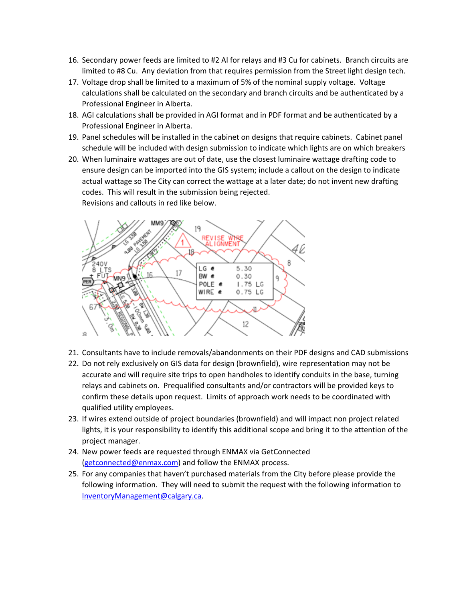- 16. Secondary power feeds are limited to #2 Al for relays and #3 Cu for cabinets. Branch circuits are limited to #8 Cu. Any deviation from that requires permission from the Street light design tech.
- 17. Voltage drop shall be limited to a maximum of 5% of the nominal supply voltage. Voltage calculations shall be calculated on the secondary and branch circuits and be authenticated by a Professional Engineer in Alberta.
- 18. AGI calculations shall be provided in AGI format and in PDF format and be authenticated by a Professional Engineer in Alberta.
- 19. Panel schedules will be installed in the cabinet on designs that require cabinets. Cabinet panel schedule will be included with design submission to indicate which lights are on which breakers
- 20. When luminaire wattages are out of date, use the closest luminaire wattage drafting code to ensure design can be imported into the GIS system; include a callout on the design to indicate actual wattage so The City can correct the wattage at a later date; do not invent new drafting codes. This will result in the submission being rejected. Revisions and callouts in red like below.



- 21. Consultants have to include removals/abandonments on their PDF designs and CAD submissions
- 22. Do not rely exclusively on GIS data for design (brownfield), wire representation may not be accurate and will require site trips to open handholes to identify conduits in the base, turning relays and cabinets on. Prequalified consultants and/or contractors will be provided keys to confirm these details upon request. Limits of approach work needs to be coordinated with qualified utility employees.
- 23. If wires extend outside of project boundaries (brownfield) and will impact non project related lights, it is your responsibility to identify this additional scope and bring it to the attention of the project manager.
- 24. New power feeds are requested through ENMAX via GetConnected [\(getconnected@enmax.com\)](mailto:getconnected@enmax.com) and follow the ENMAX process.
- 25. For any companies that haven't purchased materials from the City before please provide the following information. They will need to submit the request with the following information to [InventoryManagement@calgary.ca](mailto:InventoryManagement@calgary.ca).